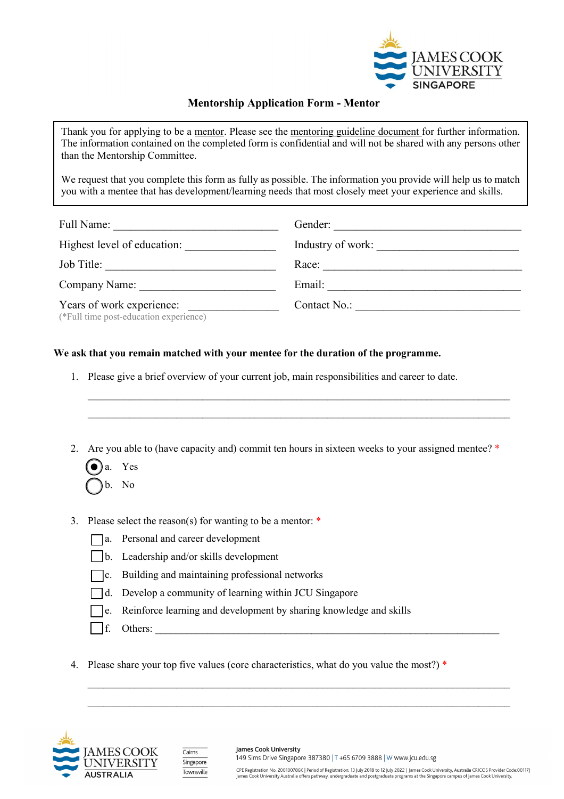

## **Mentorship Application Form - Mentor**

Thank you for applying to be a mentor. Please see the mentoring guideline document for further information. The information contained on the completed form is confidential and will not be shared with any persons other than the Mentorship Committee.

We request that you complete this form as fully as possible. The information you provide will help us to match you with a mentee that has development/learning needs that most closely meet your experience and skills.

| Full Name:                                                          | Gender:           |
|---------------------------------------------------------------------|-------------------|
| Highest level of education:                                         | Industry of work: |
| Job Title:                                                          | Race:             |
| Company Name:                                                       | Email:            |
| Years of work experience:<br>(*Full time post-education experience) | Contact No.:      |

## **We ask that you remain matched with your mentee for the duration of the programme.**

- 1. Please give a brief overview of your current job, main responsibilities and career to date.
- 2. Are you able to (have capacity and) commit ten hours in sixteen weeks to your assigned mentee? \*

\_\_\_\_\_\_\_\_\_\_\_\_\_\_\_\_\_\_\_\_\_\_\_\_\_\_\_\_\_\_\_\_\_\_\_\_\_\_\_\_\_\_\_\_\_\_\_\_\_\_\_\_\_\_\_\_\_\_\_\_\_\_\_\_\_\_\_\_\_\_\_\_\_\_\_\_\_\_\_\_\_ \_\_\_\_\_\_\_\_\_\_\_\_\_\_\_\_\_\_\_\_\_\_\_\_\_\_\_\_\_\_\_\_\_\_\_\_\_\_\_\_\_\_\_\_\_\_\_\_\_\_\_\_\_\_\_\_\_\_\_\_\_\_\_\_\_\_\_\_\_\_\_\_\_\_\_\_\_\_\_\_\_

- a. Yes b. No
- 3. Please select the reason(s) for wanting to be a mentor: \*
	- a. Personal and career development
	- b. Leadership and/or skills development
	- c. Building and maintaining professional networks
	- d. Develop a community of learning within JCU Singapore
	- e. Reinforce learning and development by sharing knowledge and skills
	- $\Box$  f. Others:
- 4. Please share your top five values (core characteristics, what do you value the most?) \*

 $\_$  , and the set of the set of the set of the set of the set of the set of the set of the set of the set of the set of the set of the set of the set of the set of the set of the set of the set of the set of the set of th \_\_\_\_\_\_\_\_\_\_\_\_\_\_\_\_\_\_\_\_\_\_\_\_\_\_\_\_\_\_\_\_\_\_\_\_\_\_\_\_\_\_\_\_\_\_\_\_\_\_\_\_\_\_\_\_\_\_\_\_\_\_\_\_\_\_\_\_\_\_\_\_\_\_\_\_\_\_\_\_\_





James Cook University 149 Sims Drive Singapore 387380 | T +65 6709 3888 | W www.jcu.edu.sg

CPE Registration No. 200100786K | Period of Registration: 13 July 2018 to 12 July 2022 | James Cook University, Australia CRICOS Provider Code:00117J James Cook University Australia offers pathway, undergraduate and postgraduate progra ms at the Singapore campus of James Cook University